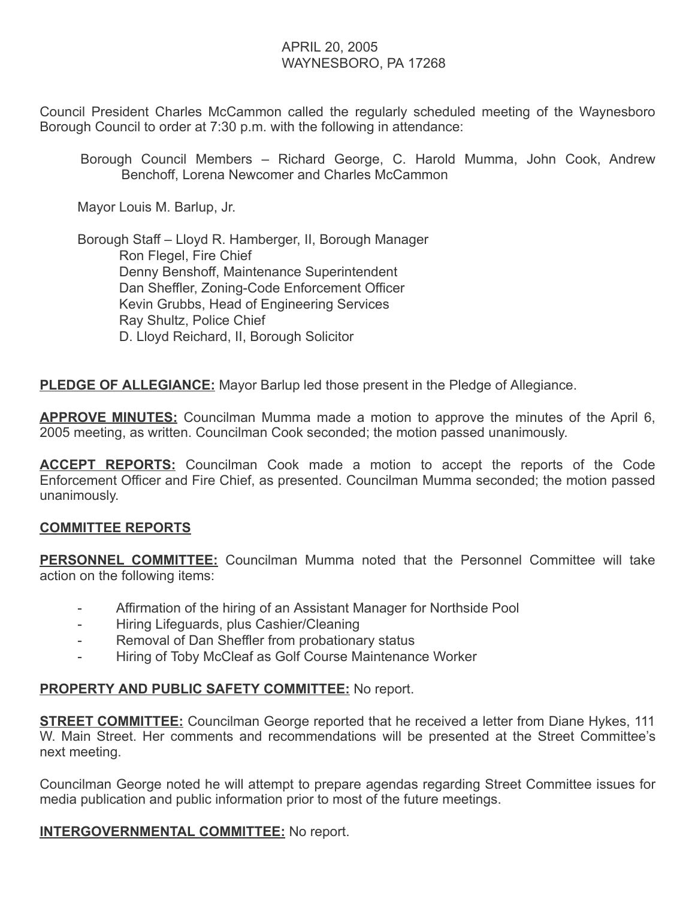# APRIL 20, 2005 WAYNESBORO, PA 17268

Council President Charles McCammon called the regularly scheduled meeting of the Waynesboro Borough Council to order at 7:30 p.m. with the following in attendance:

Borough Council Members – Richard George, C. Harold Mumma, John Cook, Andrew Benchoff, Lorena Newcomer and Charles McCammon

Mayor Louis M. Barlup, Jr.

 Borough Staff – Lloyd R. Hamberger, II, Borough Manager Ron Flegel, Fire Chief Denny Benshoff, Maintenance Superintendent Dan Sheffler, Zoning-Code Enforcement Officer Kevin Grubbs, Head of Engineering Services Ray Shultz, Police Chief D. Lloyd Reichard, II, Borough Solicitor

**PLEDGE OF ALLEGIANCE:** Mayor Barlup led those present in the Pledge of Allegiance.

**APPROVE MINUTES:** Councilman Mumma made a motion to approve the minutes of the April 6, 2005 meeting, as written. Councilman Cook seconded; the motion passed unanimously.

ACCEPT REPORTS: Councilman Cook made a motion to accept the reports of the Code Enforcement Officer and Fire Chief, as presented. Councilman Mumma seconded; the motion passed unanimously.

### COMMITTEE REPORTS

**PERSONNEL COMMITTEE:** Councilman Mumma noted that the Personnel Committee will take action on the following items:

- Affirmation of the hiring of an Assistant Manager for Northside Pool
- Hiring Lifeguards, plus Cashier/Cleaning
- Removal of Dan Sheffler from probationary status
- Hiring of Toby McCleaf as Golf Course Maintenance Worker

### PROPERTY AND PUBLIC SAFETY COMMITTEE: No report.

**STREET COMMITTEE:** Councilman George reported that he received a letter from Diane Hykes, 111 W. Main Street. Her comments and recommendations will be presented at the Street Committee's next meeting.

Councilman George noted he will attempt to prepare agendas regarding Street Committee issues for media publication and public information prior to most of the future meetings.

**INTERGOVERNMENTAL COMMITTEE:** No report.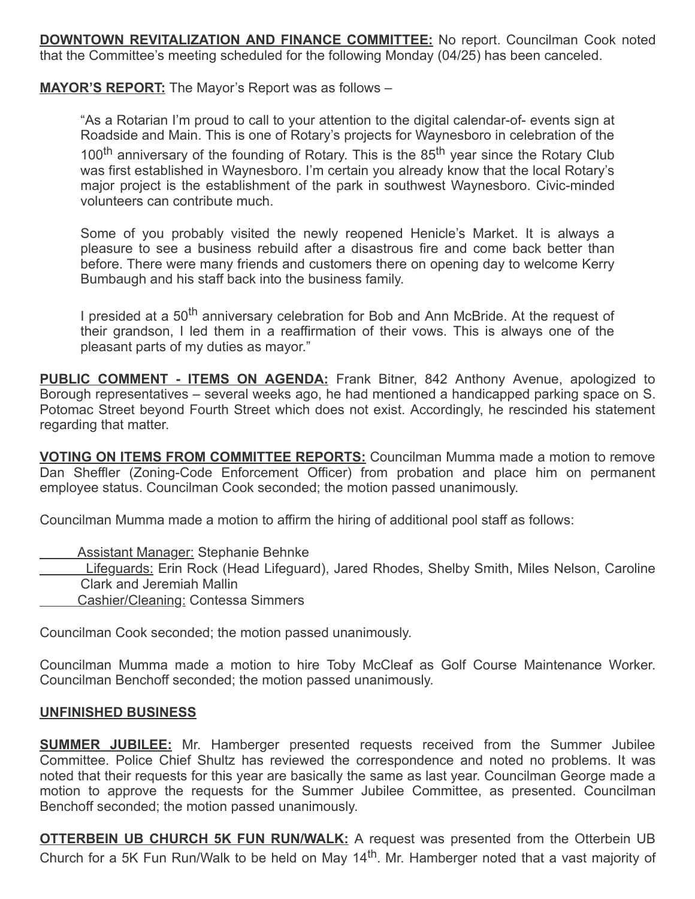**DOWNTOWN REVITALIZATION AND FINANCE COMMITTEE:** No report. Councilman Cook noted that the Committee's meeting scheduled for the following Monday (04/25) has been canceled.

### MAYOR'S REPORT: The Mayor's Report was as follows -

"As a Rotarian I'm proud to call to your attention to the digital calendar-of- events sign at Roadside and Main. This is one of Rotary's projects for Waynesboro in celebration of the 100<sup>th</sup> anniversary of the founding of Rotary. This is the 85<sup>th</sup> year since the Rotary Club was first established in Waynesboro. I'm certain you already know that the local Rotary's major project is the establishment of the park in southwest Waynesboro. Civic-minded volunteers can contribute much.

Some of you probably visited the newly reopened Henicle's Market. It is always a pleasure to see a business rebuild after a disastrous fire and come back better than before. There were many friends and customers there on opening day to welcome Kerry Bumbaugh and his staff back into the business family.

I presided at a 50<sup>th</sup> anniversary celebration for Bob and Ann McBride. At the request of their grandson, I led them in a reaffirmation of their vows. This is always one of the pleasant parts of my duties as mayor."

**PUBLIC COMMENT - ITEMS ON AGENDA:** Frank Bitner, 842 Anthony Avenue, apologized to Borough representatives – several weeks ago, he had mentioned a handicapped parking space on S. Potomac Street beyond Fourth Street which does not exist. Accordingly, he rescinded his statement regarding that matter.

VOTING ON ITEMS FROM COMMITTEE REPORTS: Councilman Mumma made a motion to remove Dan Sheffler (Zoning-Code Enforcement Officer) from probation and place him on permanent employee status. Councilman Cook seconded; the motion passed unanimously.

Councilman Mumma made a motion to affirm the hiring of additional pool staff as follows:

Assistant Manager: Stephanie Behnke

Lifeguards: Erin Rock (Head Lifeguard), Jared Rhodes, Shelby Smith, Miles Nelson, Caroline Clark and Jeremiah Mallin

Cashier/Cleaning: Contessa Simmers

Councilman Cook seconded; the motion passed unanimously.

Councilman Mumma made a motion to hire Toby McCleaf as Golf Course Maintenance Worker. Councilman Benchoff seconded; the motion passed unanimously.

### UNFINISHED BUSINESS

**SUMMER JUBILEE:** Mr. Hamberger presented requests received from the Summer Jubilee Committee. Police Chief Shultz has reviewed the correspondence and noted no problems. It was noted that their requests for this year are basically the same as last year. Councilman George made a motion to approve the requests for the Summer Jubilee Committee, as presented. Councilman Benchoff seconded; the motion passed unanimously.

**OTTERBEIN UB CHURCH 5K FUN RUN/WALK:** A request was presented from the Otterbein UB Church for a 5K Fun Run/Walk to be held on May 14<sup>th</sup>. Mr. Hamberger noted that a vast majority of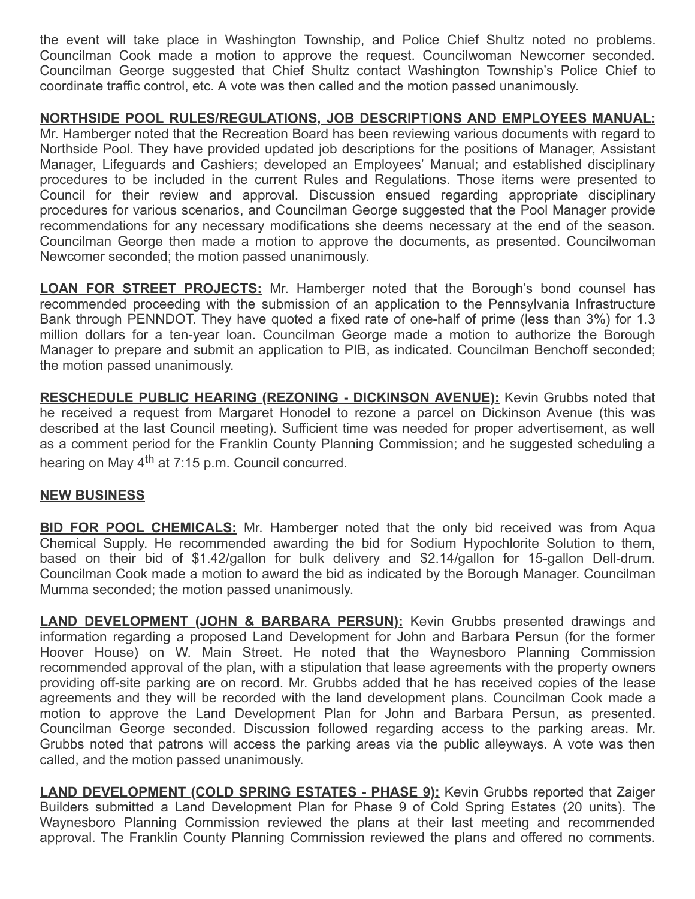the event will take place in Washington Township, and Police Chief Shultz noted no problems. Councilman Cook made a motion to approve the request. Councilwoman Newcomer seconded. Councilman George suggested that Chief Shultz contact Washington Township's Police Chief to coordinate traffic control, etc. A vote was then called and the motion passed unanimously.

# NORTHSIDE POOL RULES/REGULATIONS, JOB DESCRIPTIONS AND EMPLOYEES MANUAL:

Mr. Hamberger noted that the Recreation Board has been reviewing various documents with regard to Northside Pool. They have provided updated job descriptions for the positions of Manager, Assistant Manager, Lifeguards and Cashiers; developed an Employees' Manual; and established disciplinary procedures to be included in the current Rules and Regulations. Those items were presented to Council for their review and approval. Discussion ensued regarding appropriate disciplinary procedures for various scenarios, and Councilman George suggested that the Pool Manager provide recommendations for any necessary modifications she deems necessary at the end of the season. Councilman George then made a motion to approve the documents, as presented. Councilwoman Newcomer seconded; the motion passed unanimously.

**LOAN FOR STREET PROJECTS:** Mr. Hamberger noted that the Borough's bond counsel has recommended proceeding with the submission of an application to the Pennsylvania Infrastructure Bank through PENNDOT. They have quoted a fixed rate of one-half of prime (less than 3%) for 1.3 million dollars for a ten-year loan. Councilman George made a motion to authorize the Borough Manager to prepare and submit an application to PIB, as indicated. Councilman Benchoff seconded; the motion passed unanimously.

RESCHEDULE PUBLIC HEARING (REZONING - DICKINSON AVENUE): Kevin Grubbs noted that he received a request from Margaret Honodel to rezone a parcel on Dickinson Avenue (this was described at the last Council meeting). Sufficient time was needed for proper advertisement, as well as a comment period for the Franklin County Planning Commission; and he suggested scheduling a hearing on May 4<sup>th</sup> at 7:15 p.m. Council concurred.

### NEW BUSINESS

**BID FOR POOL CHEMICALS:** Mr. Hamberger noted that the only bid received was from Aqua Chemical Supply. He recommended awarding the bid for Sodium Hypochlorite Solution to them, based on their bid of \$1.42/gallon for bulk delivery and \$2.14/gallon for 15-gallon Dell-drum. Councilman Cook made a motion to award the bid as indicated by the Borough Manager. Councilman Mumma seconded; the motion passed unanimously.

**LAND DEVELOPMENT (JOHN & BARBARA PERSUN):** Kevin Grubbs presented drawings and information regarding a proposed Land Development for John and Barbara Persun (for the former Hoover House) on W. Main Street. He noted that the Waynesboro Planning Commission recommended approval of the plan, with a stipulation that lease agreements with the property owners providing off-site parking are on record. Mr. Grubbs added that he has received copies of the lease agreements and they will be recorded with the land development plans. Councilman Cook made a motion to approve the Land Development Plan for John and Barbara Persun, as presented. Councilman George seconded. Discussion followed regarding access to the parking areas. Mr. Grubbs noted that patrons will access the parking areas via the public alleyways. A vote was then called, and the motion passed unanimously.

**LAND DEVELOPMENT (COLD SPRING ESTATES - PHASE 9):** Kevin Grubbs reported that Zaiger Builders submitted a Land Development Plan for Phase 9 of Cold Spring Estates (20 units). The Waynesboro Planning Commission reviewed the plans at their last meeting and recommended approval. The Franklin County Planning Commission reviewed the plans and offered no comments.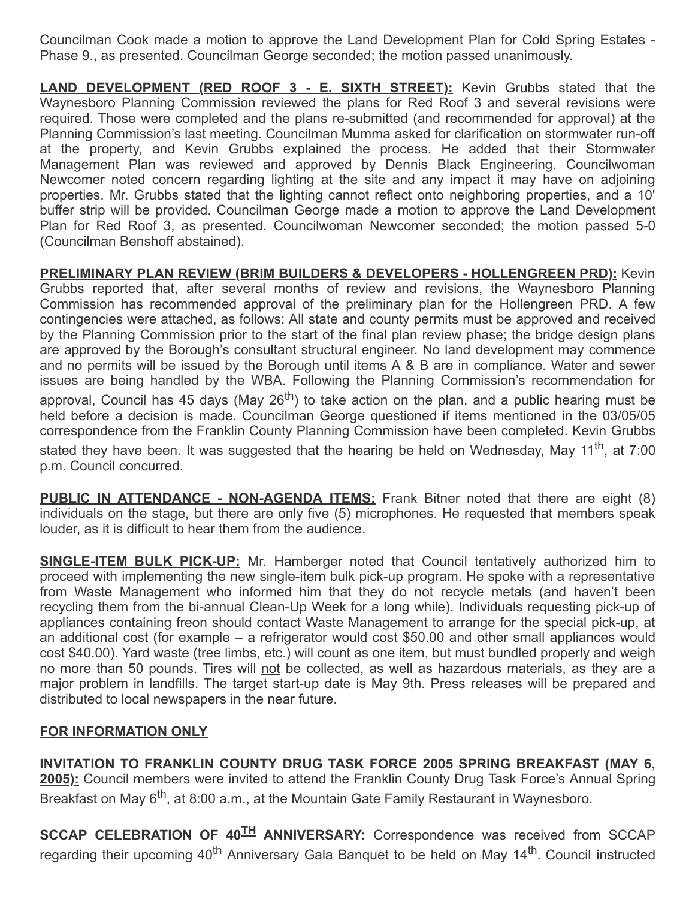Councilman Cook made a motion to approve the Land Development Plan for Cold Spring Estates - Phase 9., as presented. Councilman George seconded; the motion passed unanimously.

**LAND DEVELOPMENT (RED ROOF 3 - E. SIXTH STREET):** Kevin Grubbs stated that the Waynesboro Planning Commission reviewed the plans for Red Roof 3 and several revisions were required. Those were completed and the plans re-submitted (and recommended for approval) at the Planning Commission's last meeting. Councilman Mumma asked for clarification on stormwater run-off at the property, and Kevin Grubbs explained the process. He added that their Stormwater Management Plan was reviewed and approved by Dennis Black Engineering. Councilwoman Newcomer noted concern regarding lighting at the site and any impact it may have on adjoining properties. Mr. Grubbs stated that the lighting cannot reflect onto neighboring properties, and a 10' buffer strip will be provided. Councilman George made a motion to approve the Land Development Plan for Red Roof 3, as presented. Councilwoman Newcomer seconded; the motion passed 5-0 (Councilman Benshoff abstained).

PRELIMINARY PLAN REVIEW (BRIM BUILDERS & DEVELOPERS - HOLLENGREEN PRD): Kevin Grubbs reported that, after several months of review and revisions, the Waynesboro Planning Commission has recommended approval of the preliminary plan for the Hollengreen PRD. A few contingencies were attached, as follows: All state and county permits must be approved and received by the Planning Commission prior to the start of the final plan review phase; the bridge design plans are approved by the Borough's consultant structural engineer. No land development may commence and no permits will be issued by the Borough until items A & B are in compliance. Water and sewer issues are being handled by the WBA. Following the Planning Commission's recommendation for

approval, Council has 45 days (May 26<sup>th</sup>) to take action on the plan, and a public hearing must be held before a decision is made. Councilman George questioned if items mentioned in the 03/05/05 correspondence from the Franklin County Planning Commission have been completed. Kevin Grubbs

stated they have been. It was suggested that the hearing be held on Wednesday, May 11<sup>th</sup>, at 7:00 p.m. Council concurred.

PUBLIC IN ATTENDANCE - NON-AGENDA ITEMS: Frank Bitner noted that there are eight (8) individuals on the stage, but there are only five (5) microphones. He requested that members speak louder, as it is difficult to hear them from the audience.

**SINGLE-ITEM BULK PICK-UP:** Mr. Hamberger noted that Council tentatively authorized him to proceed with implementing the new single-item bulk pick-up program. He spoke with a representative from Waste Management who informed him that they do not recycle metals (and haven't been recycling them from the bi-annual Clean-Up Week for a long while). Individuals requesting pick-up of appliances containing freon should contact Waste Management to arrange for the special pick-up, at an additional cost (for example – a refrigerator would cost \$50.00 and other small appliances would cost \$40.00). Yard waste (tree limbs, etc.) will count as one item, but must bundled properly and weigh no more than 50 pounds. Tires will not be collected, as well as hazardous materials, as they are a major problem in landfills. The target start-up date is May 9th. Press releases will be prepared and distributed to local newspapers in the near future.

### FOR INFORMATION ONLY

INVITATION TO FRANKLIN COUNTY DRUG TASK FORCE 2005 SPRING BREAKFAST (MAY 6, 2005): Council members were invited to attend the Franklin County Drug Task Force's Annual Spring Breakfast on May 6<sup>th</sup>, at 8:00 a.m., at the Mountain Gate Family Restaurant in Waynesboro.

SCCAP CELEBRATION OF 40<sup>TH</sup> ANNIVERSARY: Correspondence was received from SCCAP regarding their upcoming 40<sup>th</sup> Anniversary Gala Banquet to be held on May 14<sup>th</sup>. Council instructed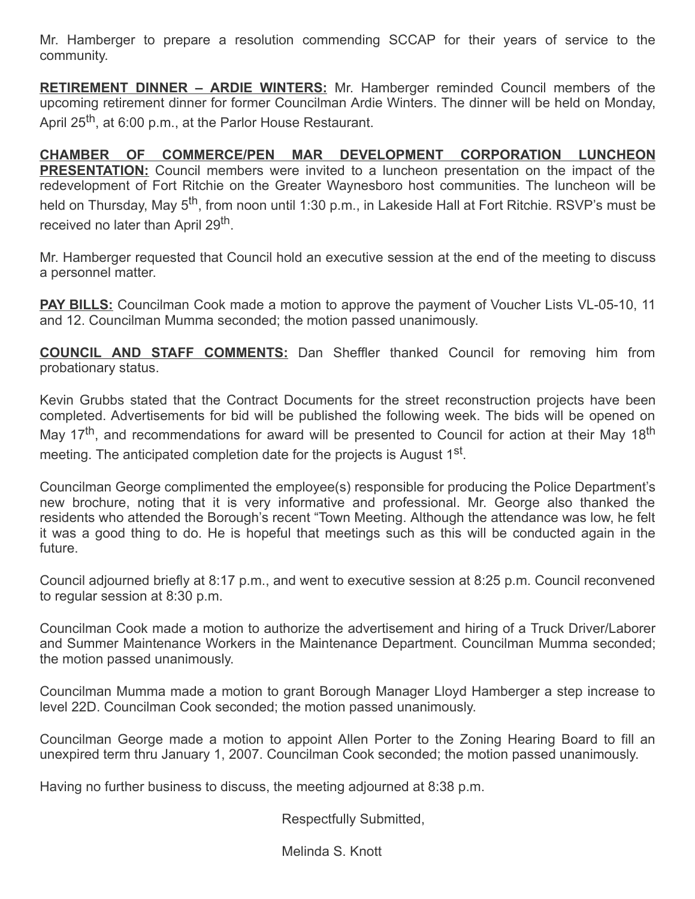Mr. Hamberger to prepare a resolution commending SCCAP for their years of service to the community.

**RETIREMENT DINNER – ARDIE WINTERS:** Mr. Hamberger reminded Council members of the upcoming retirement dinner for former Councilman Ardie Winters. The dinner will be held on Monday, April 25<sup>th</sup>, at 6:00 p.m., at the Parlor House Restaurant.

CHAMBER OF COMMERCE/PEN MAR DEVELOPMENT CORPORATION LUNCHEON PRESENTATION: Council members were invited to a luncheon presentation on the impact of the redevelopment of Fort Ritchie on the Greater Waynesboro host communities. The luncheon will be held on Thursday, May 5<sup>th</sup>, from noon until 1:30 p.m., in Lakeside Hall at Fort Ritchie. RSVP's must be received no later than April 29<sup>th</sup>.

Mr. Hamberger requested that Council hold an executive session at the end of the meeting to discuss a personnel matter.

**PAY BILLS:** Councilman Cook made a motion to approve the payment of Voucher Lists VL-05-10, 11 and 12. Councilman Mumma seconded; the motion passed unanimously.

COUNCIL AND STAFF COMMENTS: Dan Sheffler thanked Council for removing him from probationary status.

Kevin Grubbs stated that the Contract Documents for the street reconstruction projects have been completed. Advertisements for bid will be published the following week. The bids will be opened on May 17<sup>th</sup>, and recommendations for award will be presented to Council for action at their May 18<sup>th</sup> meeting. The anticipated completion date for the projects is August 1 $^{\sf st}.$ 

Councilman George complimented the employee(s) responsible for producing the Police Department's new brochure, noting that it is very informative and professional. Mr. George also thanked the residents who attended the Borough's recent "Town Meeting. Although the attendance was low, he felt it was a good thing to do. He is hopeful that meetings such as this will be conducted again in the future.

Council adjourned briefly at 8:17 p.m., and went to executive session at 8:25 p.m. Council reconvened to regular session at 8:30 p.m.

Councilman Cook made a motion to authorize the advertisement and hiring of a Truck Driver/Laborer and Summer Maintenance Workers in the Maintenance Department. Councilman Mumma seconded; the motion passed unanimously.

Councilman Mumma made a motion to grant Borough Manager Lloyd Hamberger a step increase to level 22D. Councilman Cook seconded; the motion passed unanimously.

Councilman George made a motion to appoint Allen Porter to the Zoning Hearing Board to fill an unexpired term thru January 1, 2007. Councilman Cook seconded; the motion passed unanimously.

Having no further business to discuss, the meeting adjourned at 8:38 p.m.

Respectfully Submitted,

Melinda S. Knott